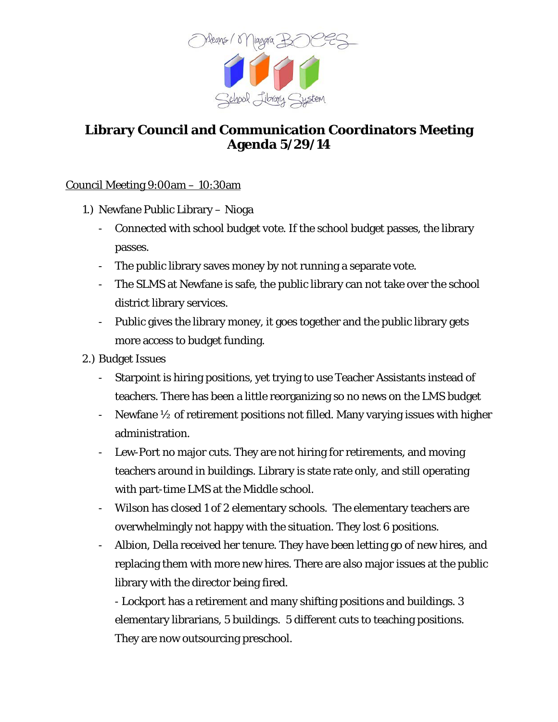

## **Library Council and Communication Coordinators Meeting Agenda 5/29/14**

## Council Meeting 9:00am – 10:30am

- 1.) Newfane Public Library Nioga
	- Connected with school budget vote. If the school budget passes, the library passes.
	- The public library saves money by not running a separate vote.
	- The SLMS at Newfane is safe, the public library can not take over the school district library services.
	- Public gives the library money, it goes together and the public library gets more access to budget funding.
- 2.) Budget Issues
	- Starpoint is hiring positions, yet trying to use Teacher Assistants instead of teachers. There has been a little reorganizing so no news on the LMS budget
	- Newfane  $\frac{1}{2}$  of retirement positions not filled. Many varying issues with higher administration.
	- Lew-Port no major cuts. They are not hiring for retirements, and moving teachers around in buildings. Library is state rate only, and still operating with part-time LMS at the Middle school.
	- Wilson has closed 1 of 2 elementary schools. The elementary teachers are overwhelmingly not happy with the situation. They lost 6 positions.
	- Albion, Della received her tenure. They have been letting go of new hires, and replacing them with more new hires. There are also major issues at the public library with the director being fired.

- Lockport has a retirement and many shifting positions and buildings. 3 elementary librarians, 5 buildings. 5 different cuts to teaching positions. They are now outsourcing preschool.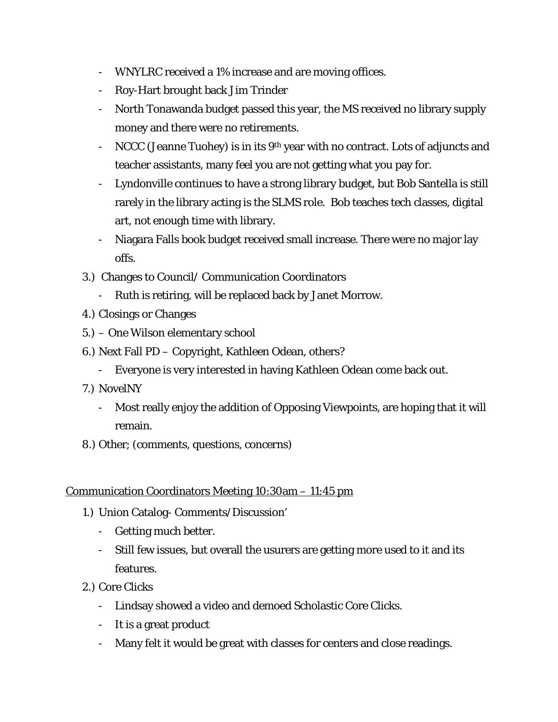- WNYLRC received a 1% increase and are moving offices.
- Roy-Hart brought back Jim Trinder
- North Tonawanda budget passed this year, the MS received no library supply money and there were no retirements.
- NCCC (Jeanne Tuohey) is in its  $9<sup>th</sup>$  year with no contract. Lots of adjuncts and teacher assistants, many feel you are not getting what you pay for.
- Lyndonville continues to have a strong library budget, but Bob Santella is still rarely in the library acting is the SLMS role. Bob teaches tech classes, digital art, not enough time with library.
- Niagara Falls book budget received small increase. There were no major lay offs.
- 3.) Changes to Council/ Communication Coordinators
	- Ruth is retiring, will be replaced back by Janet Morrow.
- 4.) Closings or Changes
- 5.) One Wilson elementary school
- 6.) Next Fall PD Copyright, Kathleen Odean, others?
	- Everyone is very interested in having Kathleen Odean come back out.
- 7.) NovelNY
	- Most really enjoy the addition of Opposing Viewpoints, are hoping that it will remain.
- 8.) Other; (comments, questions, concerns)

## Communication Coordinators Meeting 10:30am – 11:45 pm

- 1.) Union Catalog- Comments/Discussion'
	- Getting much better.
	- Still few issues, but overall the usurers are getting more used to it and its features.
- 2.) Core Clicks
	- Lindsay showed a video and demoed Scholastic Core Clicks.
	- It is a great product
	- Many felt it would be great with classes for centers and close readings.